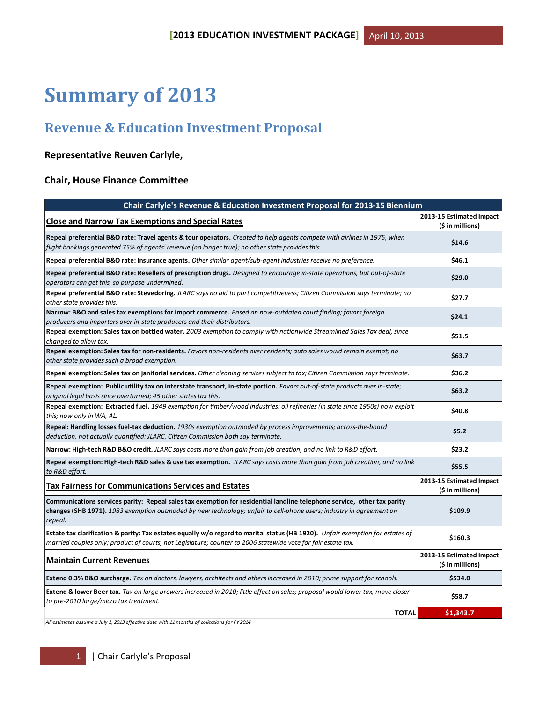# **Summary of 2013**

# **Revenue & Education Investment Proposal**

# **Representative Reuven Carlyle,**

# **Chair, House Finance Committee**

| Chair Carlyle's Revenue & Education Investment Proposal for 2013-15 Biennium                                                                                                                                                                              |                                              |
|-----------------------------------------------------------------------------------------------------------------------------------------------------------------------------------------------------------------------------------------------------------|----------------------------------------------|
| <b>Close and Narrow Tax Exemptions and Special Rates</b>                                                                                                                                                                                                  | 2013-15 Estimated Impact<br>(\$ in millions) |
| Repeal preferential B&O rate: Travel agents & tour operators. Created to help agents compete with airlines in 1975, when<br>flight bookings generated 75% of agents' revenue (no longer true); no other state provides this.                              | \$14.6                                       |
| Repeal preferential B&O rate: Insurance agents. Other similar agent/sub-agent industries receive no preference.                                                                                                                                           | \$46.1                                       |
| Repeal preferential B&O rate: Resellers of prescription drugs. Designed to encourage in-state operations, but out-of-state<br>operators can get this, so purpose undermined.                                                                              | \$29.0                                       |
| Repeal preferential B&O rate: Stevedoring. JLARC says no aid to port competitiveness; Citizen Commission says terminate; no<br>other state provides this.                                                                                                 | \$27.7                                       |
| Narrow: B&O and sales tax exemptions for import commerce. Based on now-outdated court finding; favors foreign<br>producers and importers over in-state producers and their distributors.                                                                  | \$24.1                                       |
| Repeal exemption: Sales tax on bottled water. 2003 exemption to comply with nationwide Streamlined Sales Tax deal, since<br>changed to allow tax.                                                                                                         | \$51.5                                       |
| Repeal exemption: Sales tax for non-residents. Favors non-residents over residents; auto sales would remain exempt; no<br>other state provides such a broad exemption.                                                                                    | \$63.7                                       |
| Repeal exemption: Sales tax on janitorial services. Other cleaning services subject to tax; Citizen Commission says terminate.                                                                                                                            | \$36.2                                       |
| Repeal exemption: Public utility tax on interstate transport, in-state portion. Favors out-of-state products over in-state;<br>original legal basis since overturned; 45 other states tax this.                                                           | \$63.2                                       |
| Repeal exemption: Extracted fuel. 1949 exemption for timber/wood industries; oil refineries (in state since 1950s) now exploit<br>this; now only in WA, AL.                                                                                               | \$40.8                                       |
| Repeal: Handling losses fuel-tax deduction. 1930s exemption outmoded by process improvements; across-the-board<br>deduction, not actually quantified; JLARC, Citizen Commission both say terminate.                                                       | \$5.2                                        |
| Narrow: High-tech R&D B&O credit. JLARC says costs more than gain from job creation, and no link to R&D effort.                                                                                                                                           | \$23.2                                       |
| Repeal exemption: High-tech R&D sales & use tax exemption. JLARC says costs more than gain from job creation, and no link<br>to R&D effort.                                                                                                               | \$55.5                                       |
| <b>Tax Fairness for Communications Services and Estates</b>                                                                                                                                                                                               | 2013-15 Estimated Impact<br>(\$ in millions) |
| Communications services parity: Repeal sales tax exemption for residential landline telephone service, other tax parity<br>changes (SHB 1971). 1983 exemption outmoded by new technology; unfair to cell-phone users; industry in agreement on<br>repeal. | \$109.9                                      |
| Estate tax clarification & parity: Tax estates equally w/o regard to marital status (HB 1920). Unfair exemption for estates of<br>married couples only; product of courts, not Legislature; counter to 2006 statewide vote for fair estate tax.           | \$160.3                                      |
| <b>Maintain Current Revenues</b>                                                                                                                                                                                                                          | 2013-15 Estimated Impact<br>(\$ in millions) |
| Extend 0.3% B&O surcharge. Tax on doctors, lawyers, architects and others increased in 2010; prime support for schools.                                                                                                                                   | \$534.0                                      |
| Extend & lower Beer tax. Tax on large brewers increased in 2010; little effect on sales; proposal would lower tax, move closer<br>to pre-2010 large/micro tax treatment.                                                                                  | \$58.7                                       |
| <b>TOTAL</b>                                                                                                                                                                                                                                              | \$1,343.7                                    |

*All estimates assume a July 1, 2013 effective date with 11 months of collections for FY 2014*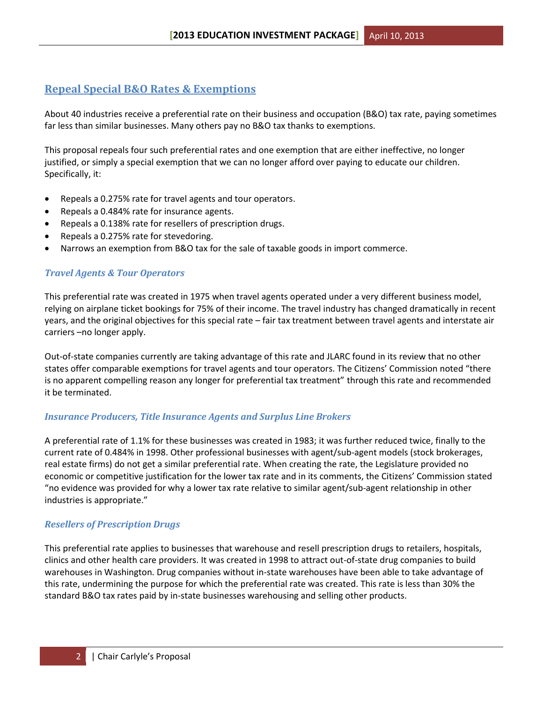# **Repeal Special B&O Rates & Exemptions**

About 40 industries receive a preferential rate on their business and occupation (B&O) tax rate, paying sometimes far less than similar businesses. Many others pay no B&O tax thanks to exemptions.

This proposal repeals four such preferential rates and one exemption that are either ineffective, no longer justified, or simply a special exemption that we can no longer afford over paying to educate our children. Specifically, it:

- Repeals a 0.275% rate for travel agents and tour operators.
- Repeals a 0.484% rate for insurance agents.
- Repeals a 0.138% rate for resellers of prescription drugs.
- Repeals a 0.275% rate for stevedoring.
- Narrows an exemption from B&O tax for the sale of taxable goods in import commerce.

# *Travel Agents & Tour Operators*

This preferential rate was created in 1975 when travel agents operated under a very different business model, relying on airplane ticket bookings for 75% of their income. The travel industry has changed dramatically in recent years, and the original objectives for this special rate – fair tax treatment between travel agents and interstate air carriers –no longer apply.

Out-of-state companies currently are taking advantage of this rate and JLARC found in its review that no other states offer comparable exemptions for travel agents and tour operators. The Citizens' Commission noted "there is no apparent compelling reason any longer for preferential tax treatment" through this rate and recommended it be terminated.

# *Insurance Producers, Title Insurance Agents and Surplus Line Brokers*

A preferential rate of 1.1% for these businesses was created in 1983; it was further reduced twice, finally to the current rate of 0.484% in 1998. Other professional businesses with agent/sub-agent models (stock brokerages, real estate firms) do not get a similar preferential rate. When creating the rate, the Legislature provided no economic or competitive justification for the lower tax rate and in its comments, the Citizens' Commission stated "no evidence was provided for why a lower tax rate relative to similar agent/sub-agent relationship in other industries is appropriate."

# *Resellers of Prescription Drugs*

This preferential rate applies to businesses that warehouse and resell prescription drugs to retailers, hospitals, clinics and other health care providers. It was created in 1998 to attract out-of-state drug companies to build warehouses in Washington. Drug companies without in-state warehouses have been able to take advantage of this rate, undermining the purpose for which the preferential rate was created. This rate is less than 30% the standard B&O tax rates paid by in-state businesses warehousing and selling other products.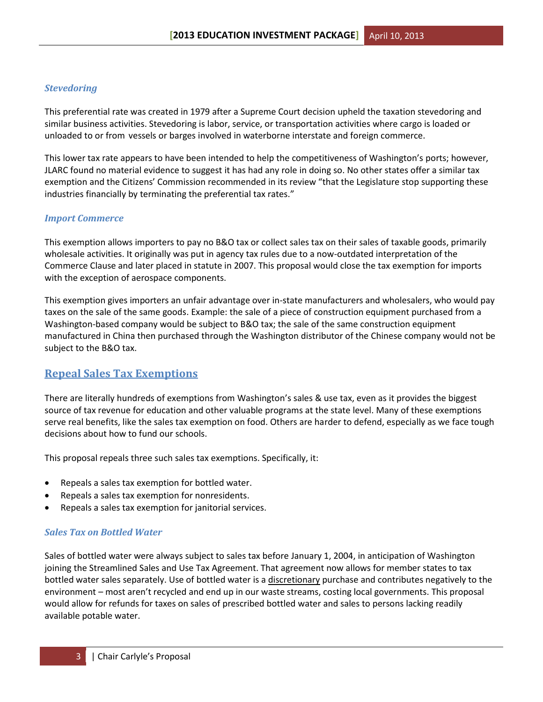## *Stevedoring*

This preferential rate was created in 1979 after a Supreme Court decision upheld the taxation stevedoring and similar business activities. Stevedoring is labor, service, or transportation activities where cargo is loaded or unloaded to or from vessels or barges involved in waterborne interstate and foreign commerce.

This lower tax rate appears to have been intended to help the competitiveness of Washington's ports; however, JLARC found no material evidence to suggest it has had any role in doing so. No other states offer a similar tax exemption and the Citizens' Commission recommended in its review "that the Legislature stop supporting these industries financially by terminating the preferential tax rates."

#### *Import Commerce*

This exemption allows importers to pay no B&O tax or collect sales tax on their sales of taxable goods, primarily wholesale activities. It originally was put in agency tax rules due to a now-outdated interpretation of the Commerce Clause and later placed in statute in 2007. This proposal would close the tax exemption for imports with the exception of aerospace components.

This exemption gives importers an unfair advantage over in-state manufacturers and wholesalers, who would pay taxes on the sale of the same goods. Example: the sale of a piece of construction equipment purchased from a Washington-based company would be subject to B&O tax; the sale of the same construction equipment manufactured in China then purchased through the Washington distributor of the Chinese company would not be subject to the B&O tax.

# **Repeal Sales Tax Exemptions**

There are literally hundreds of exemptions from Washington's sales & use tax, even as it provides the biggest source of tax revenue for education and other valuable programs at the state level. Many of these exemptions serve real benefits, like the sales tax exemption on food. Others are harder to defend, especially as we face tough decisions about how to fund our schools.

This proposal repeals three such sales tax exemptions. Specifically, it:

- Repeals a sales tax exemption for bottled water.
- Repeals a sales tax exemption for nonresidents.
- Repeals a sales tax exemption for janitorial services.

#### *Sales Tax on Bottled Water*

Sales of bottled water were always subject to sales tax before January 1, 2004, in anticipation of Washington joining the Streamlined Sales and Use Tax Agreement. That agreement now allows for member states to tax bottled water sales separately. Use of bottled water is a discretionary purchase and contributes negatively to the environment – most aren't recycled and end up in our waste streams, costing local governments. This proposal would allow for refunds for taxes on sales of prescribed bottled water and sales to persons lacking readily available potable water.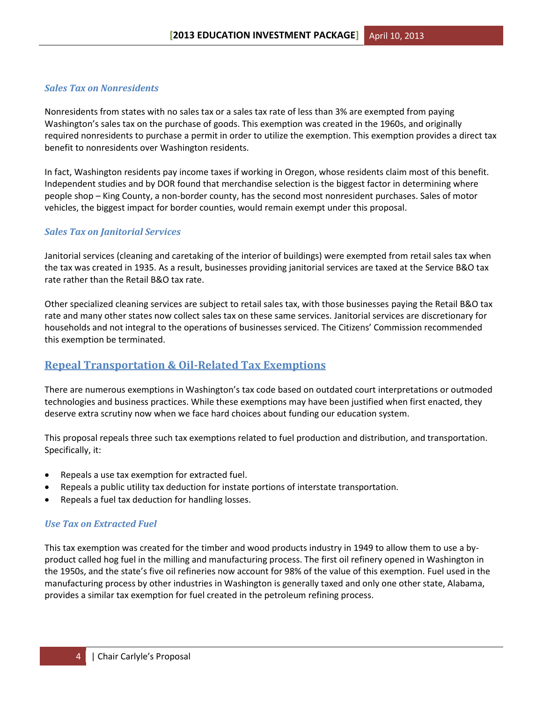# *Sales Tax on Nonresidents*

Nonresidents from states with no sales tax or a sales tax rate of less than 3% are exempted from paying Washington's sales tax on the purchase of goods. This exemption was created in the 1960s, and originally required nonresidents to purchase a permit in order to utilize the exemption. This exemption provides a direct tax benefit to nonresidents over Washington residents.

In fact, Washington residents pay income taxes if working in Oregon, whose residents claim most of this benefit. Independent studies and by DOR found that merchandise selection is the biggest factor in determining where people shop – King County, a non-border county, has the second most nonresident purchases. Sales of motor vehicles, the biggest impact for border counties, would remain exempt under this proposal.

## *Sales Tax on Janitorial Services*

Janitorial services (cleaning and caretaking of the interior of buildings) were exempted from retail sales tax when the tax was created in 1935. As a result, businesses providing janitorial services are taxed at the Service B&O tax rate rather than the Retail B&O tax rate.

Other specialized cleaning services are subject to retail sales tax, with those businesses paying the Retail B&O tax rate and many other states now collect sales tax on these same services. Janitorial services are discretionary for households and not integral to the operations of businesses serviced. The Citizens' Commission recommended this exemption be terminated.

# **Repeal Transportation & Oil-Related Tax Exemptions**

There are numerous exemptions in Washington's tax code based on outdated court interpretations or outmoded technologies and business practices. While these exemptions may have been justified when first enacted, they deserve extra scrutiny now when we face hard choices about funding our education system.

This proposal repeals three such tax exemptions related to fuel production and distribution, and transportation. Specifically, it:

- Repeals a use tax exemption for extracted fuel.
- Repeals a public utility tax deduction for instate portions of interstate transportation.
- Repeals a fuel tax deduction for handling losses.

# *Use Tax on Extracted Fuel*

This tax exemption was created for the timber and wood products industry in 1949 to allow them to use a byproduct called hog fuel in the milling and manufacturing process. The first oil refinery opened in Washington in the 1950s, and the state's five oil refineries now account for 98% of the value of this exemption. Fuel used in the manufacturing process by other industries in Washington is generally taxed and only one other state, Alabama, provides a similar tax exemption for fuel created in the petroleum refining process.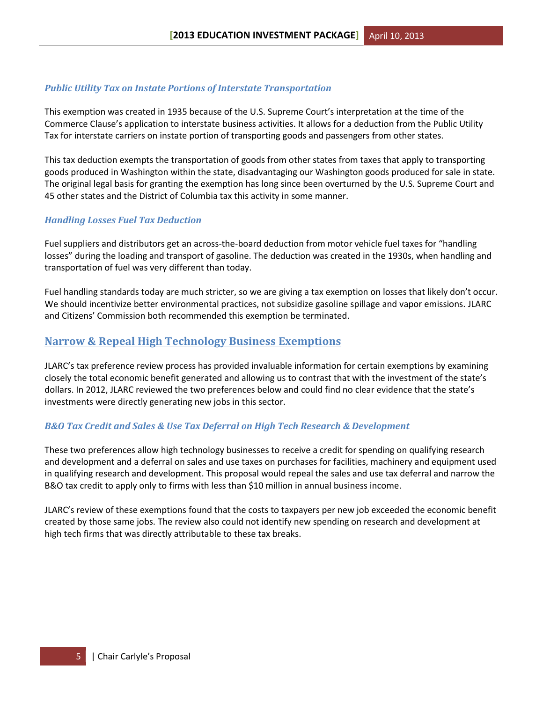# *Public Utility Tax on Instate Portions of Interstate Transportation*

This exemption was created in 1935 because of the U.S. Supreme Court's interpretation at the time of the Commerce Clause's application to interstate business activities. It allows for a deduction from the Public Utility Tax for interstate carriers on instate portion of transporting goods and passengers from other states.

This tax deduction exempts the transportation of goods from other states from taxes that apply to transporting goods produced in Washington within the state, disadvantaging our Washington goods produced for sale in state. The original legal basis for granting the exemption has long since been overturned by the U.S. Supreme Court and 45 other states and the District of Columbia tax this activity in some manner.

#### *Handling Losses Fuel Tax Deduction*

Fuel suppliers and distributors get an across-the-board deduction from motor vehicle fuel taxes for "handling losses" during the loading and transport of gasoline. The deduction was created in the 1930s, when handling and transportation of fuel was very different than today.

Fuel handling standards today are much stricter, so we are giving a tax exemption on losses that likely don't occur. We should incentivize better environmental practices, not subsidize gasoline spillage and vapor emissions. JLARC and Citizens' Commission both recommended this exemption be terminated.

# **Narrow & Repeal High Technology Business Exemptions**

JLARC's tax preference review process has provided invaluable information for certain exemptions by examining closely the total economic benefit generated and allowing us to contrast that with the investment of the state's dollars. In 2012, JLARC reviewed the two preferences below and could find no clear evidence that the state's investments were directly generating new jobs in this sector.

#### *B&O Tax Credit and Sales & Use Tax Deferral on High Tech Research & Development*

These two preferences allow high technology businesses to receive a credit for spending on qualifying research and development and a deferral on sales and use taxes on purchases for facilities, machinery and equipment used in qualifying research and development. This proposal would repeal the sales and use tax deferral and narrow the B&O tax credit to apply only to firms with less than \$10 million in annual business income.

JLARC's review of these exemptions found that the costs to taxpayers per new job exceeded the economic benefit created by those same jobs. The review also could not identify new spending on research and development at high tech firms that was directly attributable to these tax breaks.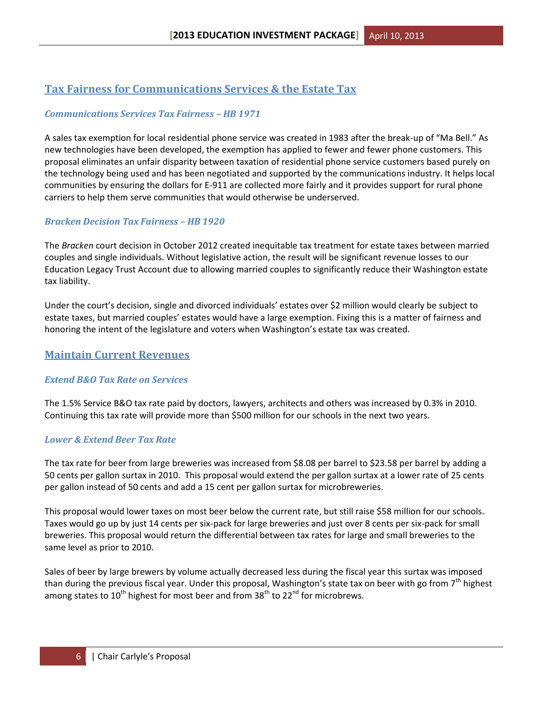# **Tax Fairness for Communications Services & the Estate Tax**

# *Communications Services Tax Fairness – HB 1971*

A sales tax exemption for local residential phone service was created in 1983 after the break-up of "Ma Bell." As new technologies have been developed, the exemption has applied to fewer and fewer phone customers. This proposal eliminates an unfair disparity between taxation of residential phone service customers based purely on the technology being used and has been negotiated and supported by the communications industry. It helps local communities by ensuring the dollars for E-911 are collected more fairly and it provides support for rural phone carriers to help them serve communities that would otherwise be underserved.

# *Bracken Decision Tax Fairness – HB 1920*

The *Bracken* court decision in October 2012 created inequitable tax treatment for estate taxes between married couples and single individuals. Without legislative action, the result will be significant revenue losses to our Education Legacy Trust Account due to allowing married couples to significantly reduce their Washington estate tax liability.

Under the court's decision, single and divorced individuals' estates over \$2 million would clearly be subject to estate taxes, but married couples' estates would have a large exemption. Fixing this is a matter of fairness and honoring the intent of the legislature and voters when Washington's estate tax was created.

# **Maintain Current Revenues**

# *Extend B&O Tax Rate on Services*

The 1.5% Service B&O tax rate paid by doctors, lawyers, architects and others was increased by 0.3% in 2010. Continuing this tax rate will provide more than \$500 million for our schools in the next two years.

# *Lower & Extend Beer Tax Rate*

The tax rate for beer from large breweries was increased from \$8.08 per barrel to \$23.58 per barrel by adding a 50 cents per gallon surtax in 2010. This proposal would extend the per gallon surtax at a lower rate of 25 cents per gallon instead of 50 cents and add a 15 cent per gallon surtax for microbreweries.

This proposal would lower taxes on most beer below the current rate, but still raise \$58 million for our schools. Taxes would go up by just 14 cents per six-pack for large breweries and just over 8 cents per six-pack for small breweries. This proposal would return the differential between tax rates for large and small breweries to the same level as prior to 2010.

Sales of beer by large brewers by volume actually decreased less during the fiscal year this surtax was imposed than during the previous fiscal year. Under this proposal, Washington's state tax on beer with go from  $7<sup>th</sup>$  highest among states to  $10^{th}$  highest for most beer and from 38<sup>th</sup> to 22<sup>nd</sup> for microbrews.